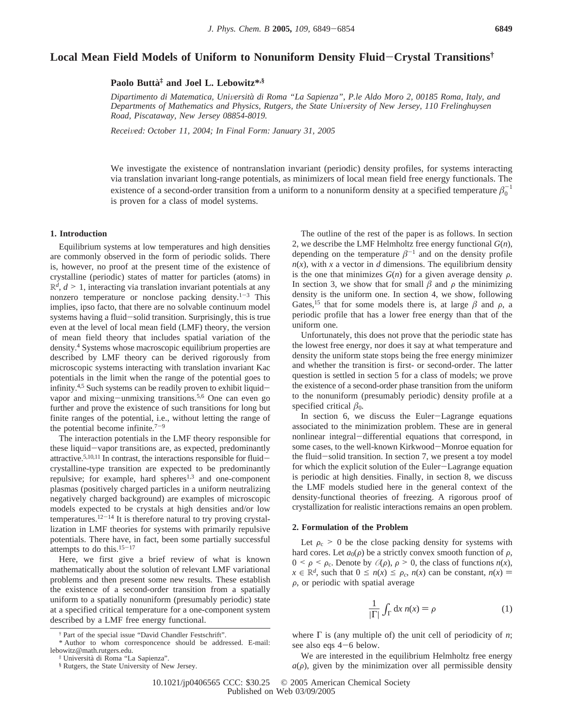# **Local Mean Field Models of Uniform to Nonuniform Density Fluid**-**Crystal Transitions†**

# **Paolo Butta**` **‡ and Joel L. Lebowitz\*,§**

*Dipartimento di Matematica, Uni*V*ersita*` *di Roma "La Sapienza", P.le Aldo Moro 2, 00185 Roma, Italy, and Departments of Mathematics and Physics, Rutgers, the State University of New Jersey, 110 Frelinghuysen Road, Piscataway, New Jersey 08854-8019.*

*Recei*V*ed: October 11, 2004; In Final Form: January 31, 2005*

We investigate the existence of nontranslation invariant (periodic) density profiles, for systems interacting via translation invariant long-range potentials, as minimizers of local mean field free energy functionals. The existence of a second-order transition from a uniform to a nonuniform density at a specified temperature  $\beta_0^{-1}$ is proven for a class of model systems.

#### **1. Introduction**

Equilibrium systems at low temperatures and high densities are commonly observed in the form of periodic solids. There is, however, no proof at the present time of the existence of crystalline (periodic) states of matter for particles (atoms) in  $\mathbb{R}^d$ ,  $d \geq 1$ , interacting via translation invariant potentials at any nonzero temperature or nonclose packing density. $1-3$  This implies, ipso facto, that there are no solvable continuum model systems having a fluid-solid transition. Surprisingly, this is true even at the level of local mean field (LMF) theory, the version of mean field theory that includes spatial variation of the density.4 Systems whose macroscopic equilibrium properties are described by LMF theory can be derived rigorously from microscopic systems interacting with translation invariant Kac potentials in the limit when the range of the potential goes to infinity.<sup>4,5</sup> Such systems can be readily proven to exhibit liquidvapor and mixing-unmixing transitions.5,6 One can even go further and prove the existence of such transitions for long but finite ranges of the potential, i.e., without letting the range of the potential become infinite. $7-9$ 

The interaction potentials in the LMF theory responsible for these liquid-vapor transitions are, as expected, predominantly attractive.<sup>5,10,11</sup> In contrast, the interactions responsible for fluidcrystalline-type transition are expected to be predominantly repulsive; for example, hard spheres<sup>1,3</sup> and one-component plasmas (positively charged particles in a uniform neutralizing negatively charged background) are examples of microscopic models expected to be crystals at high densities and/or low temperatures.<sup>12-14</sup> It is therefore natural to try proving crystallization in LMF theories for systems with primarily repulsive potentials. There have, in fact, been some partially successful attempts to do this. $15-17$ 

Here, we first give a brief review of what is known mathematically about the solution of relevant LMF variational problems and then present some new results. These establish the existence of a second-order transition from a spatially uniform to a spatially nonuniform (presumably periodic) state at a specified critical temperature for a one-component system described by a LMF free energy functional.

The outline of the rest of the paper is as follows. In section 2, we describe the LMF Helmholtz free energy functional *G*(*n*), depending on the temperature  $\beta^{-1}$  and on the density profile  $n(x)$ , with *x* a vector in *d* dimensions. The equilibrium density is the one that minimizes  $G(n)$  for a given average density  $\rho$ . In section 3, we show that for small  $\beta$  and  $\rho$  the minimizing density is the uniform one. In section 4, we show, following Gates,<sup>15</sup> that for some models there is, at large  $\beta$  and  $\rho$ , a periodic profile that has a lower free energy than that of the uniform one.

Unfortunately, this does not prove that the periodic state has the lowest free energy, nor does it say at what temperature and density the uniform state stops being the free energy minimizer and whether the transition is first- or second-order. The latter question is settled in section 5 for a class of models; we prove the existence of a second-order phase transition from the uniform to the nonuniform (presumably periodic) density profile at a specified critical  $\beta_0$ .

In section 6, we discuss the Euler-Lagrange equations associated to the minimization problem. These are in general nonlinear integral-differential equations that correspond, in some cases, to the well-known Kirkwood-Monroe equation for the fluid-solid transition. In section 7, we present a toy model for which the explicit solution of the Euler-Lagrange equation is periodic at high densities. Finally, in section 8, we discuss the LMF models studied here in the general context of the density-functional theories of freezing. A rigorous proof of crystallization for realistic interactions remains an open problem.

### **2. Formulation of the Problem**

Let  $\rho_c$  > 0 be the close packing density for systems with hard cores. Let  $a_0(\rho)$  be a strictly convex smooth function of  $\rho$ ,  $0 \leq \rho \leq \rho_c$ . Denote by  $\mathcal{O}(\rho)$ ,  $\rho \geq 0$ , the class of functions  $n(x)$ ,  $x \in \mathbb{R}^d$ , such that  $0 \le n(x) \le \rho_c$ ,  $n(x)$  can be constant,  $n(x) =$  $\rho$ , or periodic with spatial average

$$
\frac{1}{|\Gamma|} \int_{\Gamma} dx \, n(x) = \rho \tag{1}
$$

where Γ is (any multiple of) the unit cell of periodicity of *n*; see also eqs 4-6 below.

We are interested in the equilibrium Helmholtz free energy  $a(\rho)$ , given by the minimization over all permissible density

<sup>†</sup> Part of the special issue "David Chandler Festschrift".

<sup>\*</sup> Author to whom corresponcence should be addressed. E-mail: lebowitz@math.rutgers.edu.

<sup>‡</sup> Universita` di Roma "La Sapienza".

<sup>§</sup> Rutgers, the State University of New Jersey.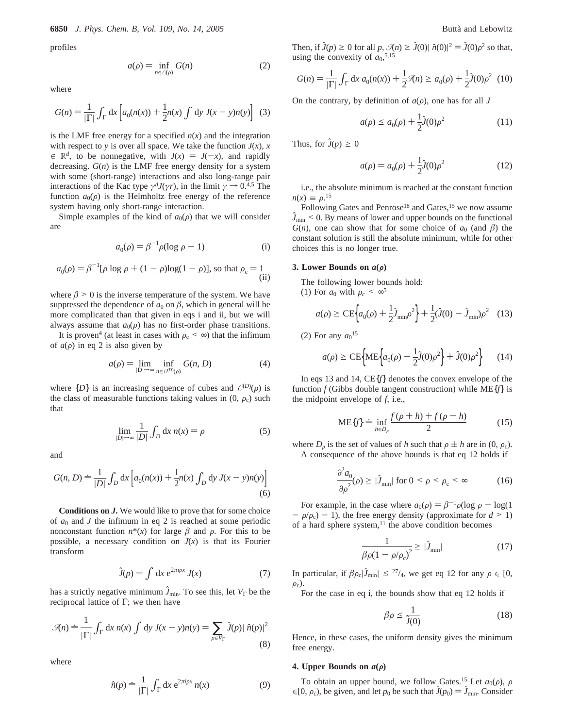profiles

$$
a(\rho) = \inf_{n \in \mathcal{A}(\rho)} G(n) \tag{2}
$$

where

$$
G(n) = \frac{1}{|\Gamma|} \int_{\Gamma} dx \left[ a_0(n(x)) + \frac{1}{2} n(x) \int dy J(x - y) n(y) \right] \tag{3}
$$

is the LMF free energy for a specified  $n(x)$  and the integration with respect to *y* is over all space. We take the function  $J(x)$ , *x*  $\in \mathbb{R}^d$ , to be nonnegative, with  $J(x) = J(-x)$ , and rapidly decreasing.  $G(n)$  is the LMF free energy density for a system with some (short-range) interactions and also long-range pair interactions of the Kac type  $\gamma^{d}J(\gamma r)$ , in the limit  $\gamma \rightarrow 0^{4.5}$  The function  $a_0(\rho)$  is the Helmholtz free energy of the reference system having only short-range interaction.

Simple examples of the kind of  $a_0(\rho)$  that we will consider are

$$
a_0(\rho) = \beta^{-1} \rho(\log \rho - 1)
$$
 (i)

$$
a_0(\rho) = \beta^{-1}[\rho \log \rho + (1 - \rho) \log(1 - \rho)],
$$
 so that  $\rho_c = 1$  (ii)

where  $\beta$  > 0 is the inverse temperature of the system. We have suppressed the dependence of  $a_0$  on  $\beta$ , which in general will be more complicated than that given in eqs i and ii, but we will always assume that  $a_0(\rho)$  has no first-order phase transitions.

It is proven<sup>4</sup> (at least in cases with  $\rho_c < \infty$ ) that the infimum of  $a(\rho)$  in eq 2 is also given by

$$
a(\rho) = \lim_{|D| \to \infty} \inf_{n \in C^{(D)}(\rho)} G(n, D) \tag{4}
$$

where  $\{D\}$  is an increasing sequence of cubes and  $\mathcal{C}^{(D)}(\rho)$  is<br>the class of measurable functions taking values in (0, 0,) such the class of measurable functions taking values in  $(0, \rho_c)$  such that

$$
\lim_{|D| \to \infty} \frac{1}{|D|} \int_D dx \, n(x) = \rho \tag{5}
$$

and

$$
G(n, D) \doteq \frac{1}{|D|} \int_D dx \left[ a_0(n(x)) + \frac{1}{2} n(x) \int_D dy J(x - y) n(y) \right]
$$
(6)

**Conditions on** *J***.** We would like to prove that for some choice of  $a_0$  and *J* the infimum in eq 2 is reached at some periodic nonconstant function  $n^*(x)$  for large  $\beta$  and  $\rho$ . For this to be possible, a necessary condition on  $J(x)$  is that its Fourier transform

$$
\hat{J}(p) = \int \mathrm{d}x \, \mathrm{e}^{2\pi i px} \, J(x) \tag{7}
$$

has a strictly negative minimum  $\hat{J}_{min}$ . To see this, let  $V_{\Gamma}$  be the reciprocal lattice of Γ; we then have

$$
\mathcal{J}(n) = \frac{1}{|\Gamma|} \int_{\Gamma} dx \, n(x) \int dy \, J(x - y)n(y) = \sum_{p \in V_{\Gamma}} \hat{J}(p) |\hat{n}(p)|^2
$$
\n(8)

where

$$
\hat{n}(p) \doteq \frac{1}{|\Gamma|} \int_{\Gamma} dx \, e^{2\pi i px} \, n(x) \tag{9}
$$

Then, if  $\hat{J}(p) \ge 0$  for all *p*,  $\mathcal{I}(n) \ge \hat{J}(0) \mid \hat{n}(0)|^2 = \hat{J}(0)\rho^2$  so that, using the convexity of  $a_0$ <sup>5,15</sup> using the convexity of  $a_0$ <sup>5,15</sup>

$$
G(n) = \frac{1}{|\Gamma|} \int_{\Gamma} dx \, a_0(n(x)) + \frac{1}{2} \mathcal{R}(n) \ge a_0(\rho) + \frac{1}{2} \hat{J}(0) \rho^2 \tag{10}
$$

On the contrary, by definition of  $a(\rho)$ , one has for all *J* 

$$
a(\rho) \le a_0(\rho) + \frac{1}{2}\hat{J}(0)\rho^2
$$
 (11)

Thus, for  $\hat{J}(p) \geq 0$ 

$$
a(\rho) = a_0(\rho) + \frac{1}{2}\hat{J}(0)\rho^2
$$
 (12)

i.e., the absolute minimum is reached at the constant function  $n(x) \equiv \rho^{15}$ <br>Followin

Following Gates and Penrose<sup>18</sup> and Gates,<sup>15</sup> we now assume  $\hat{J}_{\text{min}}$  < 0. By means of lower and upper bounds on the functional  $G(n)$ , one can show that for some choice of  $a_0$  (and  $\beta$ ) the constant solution is still the absolute minimum, while for other choices this is no longer true.

### **3.** Lower Bounds on  $a(\rho)$

The following lower bounds hold:

(1) For  $a_0$  with  $\rho_c < \infty^5$ 

$$
a(\rho) \ge \text{CE} \Big\{ a_0(\rho) + \frac{1}{2} \hat{J}_{\text{min}} \rho^2 \Big\} + \frac{1}{2} (\hat{J}(0) - \hat{J}_{\text{min}}) \rho^2 \quad (13)
$$

(2) For any  $a_0$ <sup>15</sup>

$$
a(\rho) \ge \text{CE}\left\{\text{ME}\left\{a_0(\rho) - \frac{1}{2}\hat{J}(0)\rho^2\right\} + \hat{J}(0)\rho^2\right\} \tag{14}
$$

In eqs 13 and 14, CE{*f*} denotes the convex envelope of the function *f* (Gibbs double tangent construction) while ME{*f*} is the midpoint envelope of *f*, i.e.,

$$
ME{f} = \inf_{h \in D_{\rho}} \frac{f(\rho + h) + f(\rho - h)}{2}
$$
 (15)

where  $D_{\rho}$  is the set of values of *h* such that  $\rho \pm h$  are in (0,  $\rho_c$ ). A consequence of the above bounds is that eq 12 holds if

$$
\frac{\partial^2 a_0}{\partial \rho^2}(\rho) \ge |\hat{J}_{\min}| \text{ for } 0 < \rho < \rho_c < \infty \tag{16}
$$

For example, in the case where  $a_0(\rho) = \beta^{-1}\rho(\log \rho - \log(1$  $- \rho/\rho_c$ ) - 1), the free energy density (approximate for *d* > 1) of a hard sphere system, $^{11}$  the above condition becomes

$$
\frac{1}{\beta \rho (1 - \rho/\rho_c)^2} \ge |\hat{J}_{\text{min}}| \tag{17}
$$

In particular, if  $\beta \rho_c |\hat{J}_{min}| \leq \frac{27}{4}$ , we get eq 12 for any  $\rho \in [0, 1]$  $\rho_c$ ).

For the case in eq i, the bounds show that eq 12 holds if

$$
\beta \rho \le \frac{1}{\hat{J}(0)}\tag{18}
$$

Hence, in these cases, the uniform density gives the minimum free energy.

#### **4. Upper Bounds on**  $a(\rho)$

To obtain an upper bound, we follow Gates.<sup>15</sup> Let  $a_0(\rho)$ ,  $\rho$ ∈[0,  $\rho_c$ ), be given, and let  $p_0$  be such that  $\hat{J}(p_0) = \hat{J}_{min}$ . Consider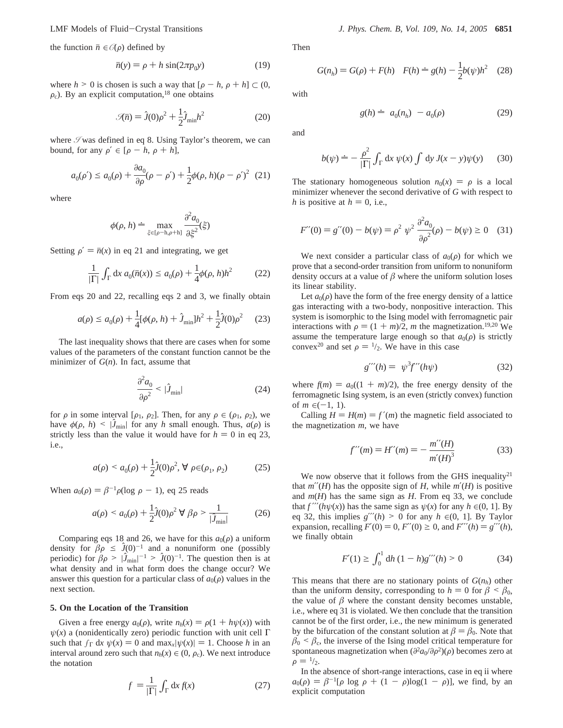the function  $\bar{n} \in \mathcal{O}(\rho)$  defined by

$$
\bar{n}(y) = \rho + h \sin(2\pi p_0 y) \tag{19}
$$

where  $h > 0$  is chosen is such a way that  $[\rho - h, \rho + h] \subset (0,$  $\rho_c$ ). By an explicit computation,<sup>18</sup> one obtains

$$
\mathcal{J}(\bar{n}) = \hat{J}(0)\rho^2 + \frac{1}{2}\hat{J}_{\min}h^2
$$
 (20)

where  $\mathcal I$  was defined in eq 8. Using Taylor's theorem, we can bound, for any  $\rho' \in [\rho - h, \rho + h],$ 

$$
a_0(\rho') \le a_0(\rho) + \frac{\partial a_0}{\partial \rho}(\rho - \rho') + \frac{1}{2}\phi(\rho, h)(\rho - \rho')^2
$$
 (21)

where

$$
\phi(\rho, h) \doteq \max_{\xi \in [\rho - h, \rho + h]} \frac{\partial^2 a_0}{\partial \xi^2}(\xi)
$$

Setting  $\rho' = \bar{n}(x)$  in eq 21 and integrating, we get

$$
\frac{1}{|\Gamma|} \int_{\Gamma} dx \, a_0(\bar{n}(x)) \le a_0(\rho) + \frac{1}{4} \phi(\rho, h) h^2 \tag{22}
$$

From eqs 20 and 22, recalling eqs 2 and 3, we finally obtain

$$
a(\rho) \le a_0(\rho) + \frac{1}{4} [\phi(\rho, h) + \hat{J}_{\min}] h^2 + \frac{1}{2} \hat{J}(0) \rho^2 \quad (23)
$$

The last inequality shows that there are cases when for some values of the parameters of the constant function cannot be the minimizer of *G*(*n*). In fact, assume that

$$
\frac{\partial^2 a_0}{\partial \rho^2} < |\hat{J}_{\text{min}}| \tag{24}
$$

for  $\rho$  in some interval [ $\rho_1$ ,  $\rho_2$ ]. Then, for any  $\rho \in (\rho_1, \rho_2)$ , we have  $\phi(\rho, h) \leq |\hat{J}_{\text{min}}|$  for any *h* small enough. Thus,  $a(\rho)$  is strictly less than the value it would have for  $h = 0$  in eq 23, i.e.,

$$
a(\rho) < a_0(\rho) + \frac{1}{2}\hat{J}(0)\rho^2, \,\forall \,\rho \in (\rho_1, \rho_2) \tag{25}
$$

When  $a_0(\rho) = \beta^{-1} \rho(\log \rho - 1)$ , eq 25 reads

$$
a(\rho) < a_0(\rho) + \frac{1}{2}\hat{J}(0)\rho^2 \,\forall \,\beta \rho > \frac{1}{|\hat{J}_{\min}|} \tag{26}
$$

Comparing eqs 18 and 26, we have for this  $a_0(\rho)$  a uniform density for  $\beta \rho \leq J(0)^{-1}$  and a nonuniform one (possibly periodic) for  $\beta \rho > |\mathcal{J}_{min}|^{-1} > \mathcal{J}(0)^{-1}$ . The question then is at what density and in what form does the change occur? We what density and in what form does the change occur? We answer this question for a particular class of  $a_0(\rho)$  values in the next section.

## **5. On the Location of the Transition**

Given a free energy  $a_0(\rho)$ , write  $n_h(x) = \rho(1 + h\psi(x))$  with  $\psi(x)$  a (nonidentically zero) periodic function with unit cell  $\Gamma$ such that  $\int_{\Gamma} dx \psi(x) = 0$  and  $\max_{x}|\psi(x)| = 1$ . Choose *h* in an interval around zero such that  $n_h(x) \in (0, \rho_c)$ . We next introduce the notation

$$
\langle f \rangle = \frac{1}{|\Gamma|} \int_{\Gamma} dx f(x) \tag{27}
$$

Then

$$
G(n_h) = G(\rho) + F(h) \quad F(h) = g(h) - \frac{1}{2}b(\psi)h^2 \quad (28)
$$

with

and

$$
g(h) \doteq \langle a_0(n_h) \rangle - a_0(\rho) \tag{29}
$$

 $b(\psi) = -\frac{\rho^2}{|\Gamma|} \int_{\Gamma} dx \psi(x) \int dy J(x - y) \psi(y)$  (30)

The stationary homogeneous solution  $n_0(x) = \rho$  is a local minimizer whenever the second derivative of *G* with respect to *h* is positive at  $h = 0$ , i.e.,

$$
F''(0) = g''(0) - b(\psi) = \rho^2 \langle \psi^2 \rangle \frac{\partial^2 a_0}{\partial \rho^2}(\rho) - b(\psi) \ge 0 \quad (31)
$$

We next consider a particular class of  $a_0(\rho)$  for which we prove that a second-order transition from uniform to nonuniform density occurs at a value of  $\beta$  where the uniform solution loses its linear stability.

Let  $a_0(\rho)$  have the form of the free energy density of a lattice gas interacting with a two-body, nonpositive interaction. This system is isomorphic to the Ising model with ferromagnetic pair interactions with  $\rho = (1 + m)/2$ , *m* the magnetization.<sup>19,20</sup> We assume the temperature large enough so that  $a_0(\rho)$  is strictly convex<sup>20</sup> and set  $\rho = \frac{1}{2}$ . We have in this case

$$
g'''(h) = \langle \psi^3 f'''(h\psi) \rangle \tag{32}
$$

where  $f(m) = a_0((1 + m)/2)$ , the free energy density of the ferromagnetic Ising system, is an even (strictly convex) function of *m* ∈(-1, 1).

Calling  $H = H(m) = f'(m)$  the magnetic field associated to the magnetization *m*, we have

$$
f'''(m) = H'''(m) = -\frac{m''(H)}{m'(H)^3}
$$
(33)

We now observe that it follows from the GHS inequality<sup>21</sup> that  $m''(H)$  has the opposite sign of *H*, while  $m'(H)$  is positive and *m*(*H*) has the same sign as *H*. From eq 33, we conclude that  $f'''(h\psi(x))$  has the same sign as  $\psi(x)$  for any  $h \in (0, 1]$ . By eq 32, this implies  $g'''(h) > 0$  for any  $h \in (0, 1]$ . By Taylor expansion, recalling  $F'(0) = 0$ ,  $F''(0) \ge 0$ , and  $F'''(h) = g'''(h)$ , we finally obtain

$$
F'(1) \ge \int_0^1 dh (1 - h)g'''(h) > 0
$$
 (34)

This means that there are no stationary points of  $G(n_h)$  other than the uniform density, corresponding to  $h = 0$  for  $\beta < \beta_0$ , the value of  $\beta$  where the constant density becomes unstable, i.e., where eq 31 is violated. We then conclude that the transition cannot be of the first order, i.e., the new minimum is generated by the bifurcation of the constant solution at  $\beta = \beta_0$ . Note that  $\beta_0$  <  $\beta_c$ , the inverse of the Ising model critical temperature for spontaneous magnetization when  $(\partial^2 a_0/\partial \rho^2)(\rho)$  becomes zero at  $\rho = \frac{1}{2}$ .

In the absence of short-range interactions, case in eq ii where  $a_0(\rho) = \beta^{-1}[\rho \log \rho + (1 - \rho) \log(1 - \rho)]$ , we find, by an explicit computation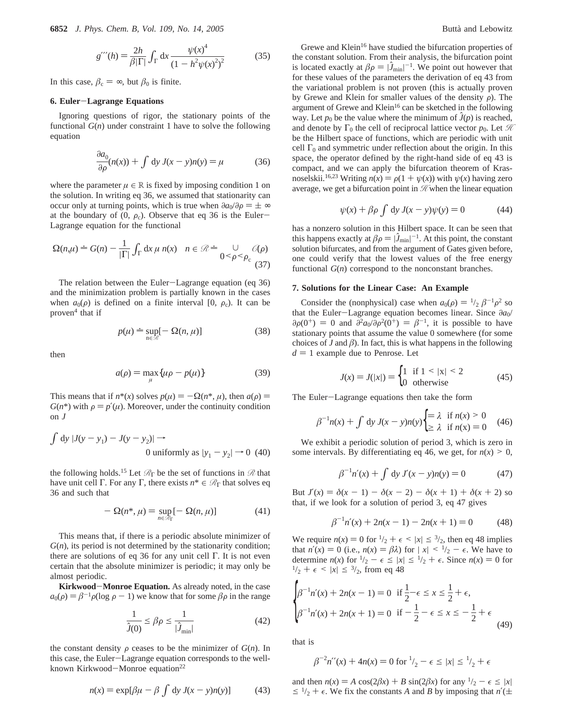**6852** *J. Phys. Chem. B, Vol. 109, No. 14, 2005* Butta` and Lebowitz

$$
g'''(h) = \frac{2h}{\beta|\Gamma|} \int_{\Gamma} dx \frac{\psi(x)^{4}}{(1 - h^{2}\psi(x)^{2})^{2}}
$$
(35)

In this case,  $\beta_c = \infty$ , but  $\beta_0$  is finite.

#### **6. Euler**-**Lagrange Equations**

Ignoring questions of rigor, the stationary points of the functional  $G(n)$  under constraint 1 have to solve the following equation

$$
\frac{\partial a_0}{\partial \rho}(n(x)) + \int \mathrm{d}y \, J(x - y)n(y) = \mu \tag{36}
$$

where the parameter  $\mu \in \mathbb{R}$  is fixed by imposing condition 1 on the solution. In writing eq 36, we assumed that stationarity can occur only at turning points, which is true when  $\partial a_0/\partial \rho = \pm \infty$ at the boundary of  $(0, \rho_c)$ . Observe that eq 36 is the Euler-Lagrange equation for the functional

$$
\Omega(n,\mu) \doteq G(n) - \frac{1}{|\Gamma|} \int_{\Gamma} dx \,\mu \, n(x) \quad n \in \mathcal{R} \doteq \bigcup_{0 \leq \rho \leq \rho_c} \mathcal{O}(\rho) \tag{37}
$$

The relation between the Euler-Lagrange equation (eq 36) and the minimization problem is partially known in the cases when  $a_0(\rho)$  is defined on a finite interval [0,  $\rho_c$ ). It can be proven $4$  that if

$$
p(\mu) \doteq \sup_{\mathbf{n} \in \mathcal{R}} [-\Omega(n,\mu)] \tag{38}
$$

then

$$
a(\rho) = \max_{\mu} \{ \mu \rho - p(\mu) \}
$$
 (39)

This means that if  $n^*(x)$  solves  $p(\mu) = -\Omega(n^*, \mu)$ , then  $a(\rho) =$  $G(n^*)$  with  $\rho = p'(u)$ . Moreover, under the continuity condition on *J*

$$
\int dy |J(y - y_1) - J(y - y_2)| \to
$$
  
0 uniformly as  $|y_1 - y_2| \to 0$  (40)

the following holds.<sup>15</sup> Let  $\mathcal{R}_{\Gamma}$  be the set of functions in  $\mathcal{R}$  that have unit cell Γ. For any Γ, there exists *n*\* ∈ *R*<sup>Γ</sup> that solves eq 36 and such that

$$
- \Omega(n^*, \mu) = \sup_{n \in \mathcal{R}_\Gamma} [- \Omega(n, \mu)] \tag{41}
$$

This means that, if there is a periodic absolute minimizer of  $G(n)$ , its period is not determined by the stationarity condition; there are solutions of eq 36 for any unit cell Γ. It is not even certain that the absolute minimizer is periodic; it may only be almost periodic.

**Kirkwood**-**Monroe Equation.** As already noted, in the case  $a_0(\rho) = \beta^{-1} \rho(\log \rho - 1)$  we know that for some  $\beta \rho$  in the range

$$
\frac{1}{\hat{J}(0)} \le \beta \rho \le \frac{1}{|\hat{J}_{\min}|} \tag{42}
$$

the constant density  $\rho$  ceases to be the minimizer of  $G(n)$ . In this case, the Euler-Lagrange equation corresponds to the wellknown Kirkwood-Monroe equation<sup>22</sup>

$$
n(x) = \exp[\beta \mu - \beta \int dy J(x - y)n(y)] \tag{43}
$$

Grewe and Klein<sup>16</sup> have studied the bifurcation properties of the constant solution. From their analysis, the bifurcation point is located exactly at  $\beta \rho = |\hat{J}_{\text{min}}|^{-1}$ . We point out however that for these values of the parameters the derivation of eq. 43 from for these values of the parameters the derivation of eq 43 from the variational problem is not proven (this is actually proven by Grewe and Klein for smaller values of the density  $\rho$ ). The argument of Grewe and Klein16 can be sketched in the following way. Let  $p_0$  be the value where the minimum of  $\hat{J}(p)$  is reached, and denote by  $\Gamma_0$  the cell of reciprocal lattice vector  $p_0$ . Let  $\mathcal H$ be the Hilbert space of functions, which are periodic with unit cell  $\Gamma_0$  and symmetric under reflection about the origin. In this space, the operator defined by the right-hand side of eq 43 is compact, and we can apply the bifurcation theorem of Krasnoselskii.<sup>16,23</sup> Writing  $n(x) = \rho(1 + \psi(x))$  with  $\psi(x)$  having zero average, we get a bifurcation point in  $\mathcal{H}$  when the linear equation

$$
\psi(x) + \beta \rho \int dy J(x - y)\psi(y) = 0 \tag{44}
$$

has a nonzero solution in this Hilbert space. It can be seen that this happens exactly at  $\beta \rho = |\hat{J}_{min}|^{-1}$ . At this point, the constant solution bifurcates, and from the argument of Gates given before solution bifurcates, and from the argument of Gates given before, one could verify that the lowest values of the free energy functional *G*(*n*) correspond to the nonconstant branches.

#### **7. Solutions for the Linear Case: An Example**

Consider the (nonphysical) case when  $a_0(\rho) = \frac{1}{2} \beta^{-1} \rho^2$  so that the Euler-Lagrange equation becomes linear. Since *<sup>∂</sup>a*0/  $\partial \rho(0^+) = 0$  and  $\partial^2 a_0/\partial \rho^2(0^+) = \beta^{-1}$ , it is possible to have stationary points that assume the value 0 somewhere (for some choices of  $J$  and  $\beta$ ). In fact, this is what happens in the following  $d = 1$  example due to Penrose. Let

$$
J(x) = J(|x|) = \begin{cases} 1 & \text{if } 1 \le |x| \le 2 \\ 0 & \text{otherwise} \end{cases}
$$
 (45)

The Euler-Lagrange equations then take the form

$$
\beta^{-1}n(x) + \int dy J(x - y)n(y) \begin{cases} = \lambda & \text{if } n(x) > 0 \\ \ge \lambda & \text{if } n(x) = 0 \end{cases}
$$
 (46)

We exhibit a periodic solution of period 3, which is zero in some intervals. By differentiating eq 46, we get, for  $n(x) \geq 0$ ,

$$
\beta^{-1} n'(x) + \int dy J'(x - y)n(y) = 0 \tag{47}
$$

But  $J'(x) = \delta(x - 1) - \delta(x - 2) - \delta(x + 1) + \delta(x + 2)$  so that, if we look for a solution of period 3, eq 47 gives

$$
\beta^{-1}n'(x) + 2n(x - 1) - 2n(x + 1) = 0 \tag{48}
$$

We require  $n(x) = 0$  for  $\frac{1}{2} + \epsilon \le |x| \le \frac{3}{2}$ , then eq 48 implies that  $n'(x) = 0$  (i.e.,  $n(x) = \beta \lambda$ ) for  $|x| \leq 1/2 - \epsilon$ . We have to determine  $n(x)$  for  $\frac{1}{2} - \epsilon \le |x| \le \frac{1}{2} + \epsilon$ . Since  $n(x) = 0$  for  $\frac{1}{2} + \epsilon \le |x| \le \frac{3}{2}$ , from eq 48

$$
\begin{cases} \beta^{-1}n'(x) + 2n(x-1) = 0 & \text{if } \frac{1}{2} - \epsilon \le x \le \frac{1}{2} + \epsilon, \\ \beta^{-1}n'(x) + 2n(x+1) = 0 & \text{if } -\frac{1}{2} - \epsilon \le x \le -\frac{1}{2} + \epsilon \end{cases}
$$
(49)

that is

$$
\beta^{-2}n''(x) + 4n(x) = 0 \text{ for } \frac{1}{2} - \epsilon \le |x| \le \frac{1}{2} + \epsilon
$$

and then  $n(x) = A \cos(2\beta x) + B \sin(2\beta x)$  for any  $\frac{1}{2} - \epsilon \le |x|$  $\leq$  1/<sub>2</sub> +  $\epsilon$ . We fix the constants *A* and *B* by imposing that *n*'( $\pm$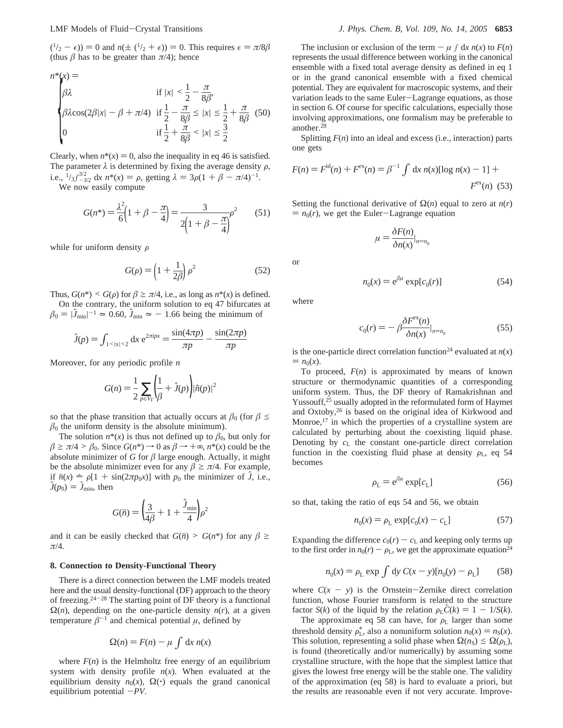$(1/2 - \epsilon)$  = 0 and  $n(\pm (1/2 + \epsilon)) = 0$ . This requires  $\epsilon = \pi/8\beta$ (thus  $\beta$  has to be greater than  $\pi/4$ ); hence

$$
n^{*}(x) = \n\begin{cases} \n\beta \lambda & \text{if } |x| < \frac{1}{2} - \frac{\pi}{8\beta}, \\
\beta \lambda \cos(2\beta |x| - \beta + \pi/4) & \text{if } \frac{1}{2} - \frac{\pi}{8\beta} \le |x| \le \frac{1}{2} + \frac{\pi}{8\beta} \quad (50) \\
0 & \text{if } \frac{1}{2} + \frac{\pi}{8\beta} < |x| \le \frac{3}{2} \n\end{cases}
$$

Clearly, when  $n^*(x) = 0$ , also the inequality in eq 46 is satisfied. The parameter  $\lambda$  is determined by fixing the average density  $\rho$ , i.e.,  $\frac{1}{3}$  $\int_{-3/2}^{3/2} dx n^*(x) = \rho$ , getting  $\lambda = 3\rho(1 + \beta - \pi/4)^{-1}$ .<br>We now easily compute

We now easily compute

$$
G(n^*) = \frac{\lambda^2}{6} \left( 1 + \beta - \frac{\pi}{4} \right) = \frac{3}{2 \left( 1 + \beta - \frac{\pi}{4} \right)} \rho^2 \tag{51}
$$

while for uniform density  $\rho$ 

$$
G(\rho) = \left(1 + \frac{1}{2\beta}\right)\rho^2\tag{52}
$$

Thus,  $G(n^*) \leq G(\rho)$  for  $\beta \geq \pi/4$ , i.e., as long as  $n^*(x)$  is defined. On the contrary, the uniform solution to eq 47 bifurcates at  $\beta_0 = |\hat{J}_{\text{min}}|^{-1} \approx 0.60, \hat{J}_{\text{min}} \approx -1.66$  being the minimum of

$$
\hat{J}(p) = \int_{1 < |x| < 2} \mathrm{d}x \, \mathrm{e}^{2\pi i px} = \frac{\sin(4\pi p)}{\pi p} - \frac{\sin(2\pi p)}{\pi p}
$$

Moreover, for any periodic profile *n*

$$
G(n) = \frac{1}{2} \sum_{p \in V_{\Gamma}} \left( \frac{1}{\beta} + \hat{J}(p) \right) |\hat{n}(p)|^2
$$

so that the phase transition that actually occurs at  $\beta_0$  (for  $\beta \leq$  $\beta_0$  the uniform density is the absolute minimum).

The solution  $n^*(x)$  is thus not defined up to  $\beta_0$ , but only for  $\beta \ge \pi/4 > \beta_0$ . Since  $G(n^*) \to 0$  as  $\beta \to +\infty$ ,  $n^*(x)$  could be the absolute minimizer of  $G$  for  $\beta$  large enough. Actually, it might be the absolute minimizer even for any  $\beta \ge \pi/4$ . For example, if  $\bar{n}(x) = \rho[1 + \sin(2\pi p_0 x)]$  with  $p_0$  the minimizer of *J*, i.e.,  $J(p_0) = J_{\text{min}}$ , then

$$
G(\bar{n}) = \left(\frac{3}{4\beta} + 1 + \frac{\hat{J}_{\min}}{4}\right)\rho^2
$$

and it can be easily checked that  $G(\bar{n}) > G(n^*)$  for any  $\beta \geq$ *π*/4.

# **8. Connection to Density-Functional Theory**

There is a direct connection between the LMF models treated here and the usual density-functional (DF) approach to the theory of freezing. $24-28$  The starting point of DF theory is a functional  $\Omega(n)$ , depending on the one-particle density  $n(r)$ , at a given temperature  $\beta^{-1}$  and chemical potential  $\mu$ , defined by

$$
\Omega(n) = F(n) - \mu \int \mathrm{d}x \, n(x)
$$

where  $F(n)$  is the Helmholtz free energy of an equilibrium system with density profile  $n(x)$ . When evaluated at the equilibrium density  $n_0(x)$ ,  $\Omega(\cdot)$  equals the grand canonical equilibrium potential  $-PV$ .

The inclusion or exclusion of the term  $-\mu \int dx n(x)$  to  $F(n)$ represents the usual difference between working in the canonical ensemble with a fixed total average density as defined in eq 1 or in the grand canonical ensemble with a fixed chemical potential. They are equivalent for macroscopic systems, and their variation leads to the same Euler-Lagrange equations, as those in section 6. Of course for specific calculations, especially those involving approximations, one formalism may be preferable to another.28

Splitting  $F(n)$  into an ideal and excess (i.e., interaction) parts one gets

$$
F(n) = Fid(n) + Fex(n) = \beta^{-1} \int dx \, n(x) [\log n(x) - 1] + Fex(n) \tag{53}
$$

Setting the functional derivative of  $Ω(n)$  equal to zero at *n*(*r*)  $= n_0(r)$ , we get the Euler-Lagrange equation

$$
\mu = \frac{\delta F(n)}{\delta n(x)} \big|_{n=n_0}
$$

$$
f_{\rm{max}}
$$

$$
n_0(x) = e^{\beta \mu} \exp[c_0(r)]
$$
 (54)

where

or

$$
c_0(r) = -\beta \frac{\delta F^{\text{ex}}(n)}{\delta n(x)} \Big|_{n=n_0} \tag{55}
$$

is the one-particle direct correlation function<sup>24</sup> evaluated at  $n(x)$  $= n_0(x)$ .

To proceed,  $F(n)$  is approximated by means of known structure or thermodynamic quantities of a corresponding uniform system. Thus, the DF theory of Ramakrishnan and Yussouff,<sup>25</sup> usually adopted in the reformulated form of Haymet and Oxtoby,26 is based on the original idea of Kirkwood and Monroe,<sup>17</sup> in which the properties of a crystalline system are calculated by perturbing about the coexisting liquid phase. Denoting by *c*<sup>L</sup> the constant one-particle direct correlation function in the coexisting fluid phase at density  $\rho_L$ , eq 54 becomes

$$
\rho_{\rm L} = e^{\beta \mu} \exp[c_{\rm L}] \tag{56}
$$

so that, taking the ratio of eqs 54 and 56, we obtain

$$
n_0(x) = \rho_L \exp[c_0(x) - c_L]
$$
 (57)

Expanding the difference  $c_0(r) - c_L$  and keeping only terms up to the first order in  $n_0(r) - \rho_L$ , we get the approximate equation<sup>24</sup>

$$
n_0(x) = \rho_L \exp \int dy C(x - y)[n_0(y) - \rho_L]
$$
 (58)

where  $C(x - y)$  is the Ornstein-Zernike direct correlation function, whose Fourier transform is related to the structure factor *S*(*k*) of the liquid by the relation  $\rho_L C(k) = 1 - 1/S(k)$ .

The approximate eq 58 can have, for  $\rho_L$  larger than some threshold density  $\rho_L^*$ , also a nonuniform solution  $n_0(x) = n_S(x)$ .<br>This solution representing a solid phase when  $Q(n_0) \le Q(n_0)$ . This solution, representing a solid phase when  $\Omega(n_S) \leq \Omega(\rho_L)$ , is found (theoretically and/or numerically) by assuming some crystalline structure, with the hope that the simplest lattice that gives the lowest free energy will be the stable one. The validity of the approximation (eq 58) is hard to evaluate a priori, but the results are reasonable even if not very accurate. Improve